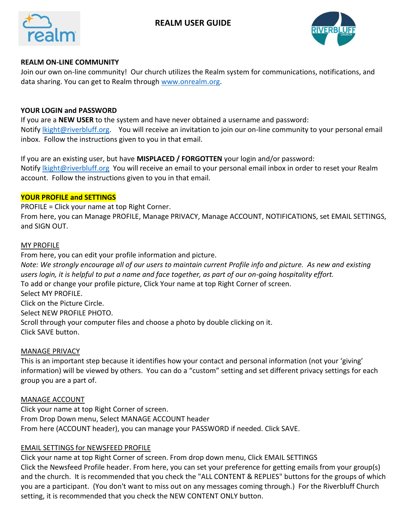# **REALM USER GUIDE**





#### **REALM ON-LINE COMMUNITY**

Join our own on-line community! Our church utilizes the Realm system for communications, notifications, and data sharing. You can get to Realm through [www.onrealm.org.](http://www.onrealm.org/)

#### **YOUR LOGIN and PASSWORD**

If you are a **NEW USER** to the system and have never obtained a username and password: Notify *lkight@riverbluff.org.* You will receive an invitation to join our on-line community to your personal email inbox. Follow the instructions given to you in that email.

If you are an existing user, but have **MISPLACED / FORGOTTEN** your login and/or password: Notify *lkight@riverbluff.org* You will receive an email to your personal email inbox in order to reset your Realm account. Follow the instructions given to you in that email.

## **YOUR PROFILE and SETTINGS**

PROFILE = Click your name at top Right Corner.

From here, you can Manage PROFILE, Manage PRIVACY, Manage ACCOUNT, NOTIFICATIONS, set EMAIL SETTINGS, and SIGN OUT.

#### MY PROFILE

From here, you can edit your profile information and picture.

*Note: We strongly encourage all of our users to maintain current Profile info and picture. As new and existing users login, it is helpful to put a name and face together, as part of our on-going hospitality effort.*  To add or change your profile picture, Click Your name at top Right Corner of screen. Select MY PROFILE. Click on the Picture Circle. Select NEW PROFILE PHOTO.

Scroll through your computer files and choose a photo by double clicking on it. Click SAVE button.

#### MANAGE PRIVACY

This is an important step because it identifies how your contact and personal information (not your 'giving' information) will be viewed by others. You can do a "custom" setting and set different privacy settings for each group you are a part of.

#### MANAGE ACCOUNT

Click your name at top Right Corner of screen. From Drop Down menu, Select MANAGE ACCOUNT header From here (ACCOUNT header), you can manage your PASSWORD if needed. Click SAVE.

#### EMAIL SETTINGS for NEWSFEED PROFILE

Click your name at top Right Corner of screen. From drop down menu, Click EMAIL SETTINGS Click the Newsfeed Profile header. From here, you can set your preference for getting emails from your group(s) and the church. It is recommended that you check the "ALL CONTENT & REPLIES" buttons for the groups of which you are a participant. (You don't want to miss out on any messages coming through.) For the Riverbluff Church setting, it is recommended that you check the NEW CONTENT ONLY button.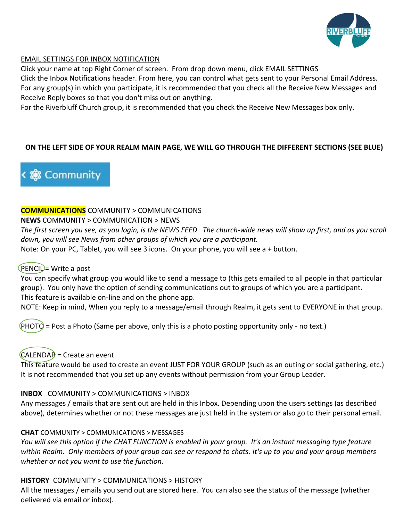

## EMAIL SETTINGS FOR INBOX NOTIFICATION

Click your name at top Right Corner of screen. From drop down menu, click EMAIL SETTINGS Click the Inbox Notifications header. From here, you can control what gets sent to your Personal Email Address. For any group(s) in which you participate, it is recommended that you check all the Receive New Messages and Receive Reply boxes so that you don't miss out on anything.

For the Riverbluff Church group, it is recommended that you check the Receive New Messages box only.

## **ON THE LEFT SIDE OF YOUR REALM MAIN PAGE, WE WILL GO THROUGH THE DIFFERENT SECTIONS (SEE BLUE)**



## **COMMUNICATIONS** COMMUNITY > COMMUNICATIONS

#### **NEWS** COMMUNITY > COMMUNICATION > NEWS

*The first screen you see, as you login, is the NEWS FEED. The church-wide news will show up first, and as you scroll down, you will see News from other groups of which you are a participant.*

Note: On your PC, Tablet, you will see 3 icons. On your phone, you will see a + button.

## $(PENCI) = Write a post$

You can specify what group you would like to send a message to (this gets emailed to all people in that particular group). You only have the option of sending communications out to groups of which you are a participant. This feature is available on-line and on the phone app.

NOTE: Keep in mind, When you reply to a message/email through Realm, it gets sent to EVERYONE in that group.

 $(PHOTO = Post a Photo (Same per above, only this is a photo positive property only - no text.)$ 

# $CALENDAR = Create$  an event

This feature would be used to create an event JUST FOR YOUR GROUP (such as an outing or social gathering, etc.) It is not recommended that you set up any events without permission from your Group Leader.

## **INBOX** COMMUNITY > COMMUNICATIONS > INBOX

Any messages / emails that are sent out are held in this Inbox. Depending upon the users settings (as described above), determines whether or not these messages are just held in the system or also go to their personal email.

## **CHAT** COMMUNITY > COMMUNICATIONS > MESSAGES

*You will see this option if the CHAT FUNCTION is enabled in your group. It's an instant messaging type feature within Realm. Only members of your group can see or respond to chats. It's up to you and your group members whether or not you want to use the function.*

## **HISTORY** COMMUNITY > COMMUNICATIONS > HISTORY

All the messages / emails you send out are stored here. You can also see the status of the message (whether delivered via email or inbox).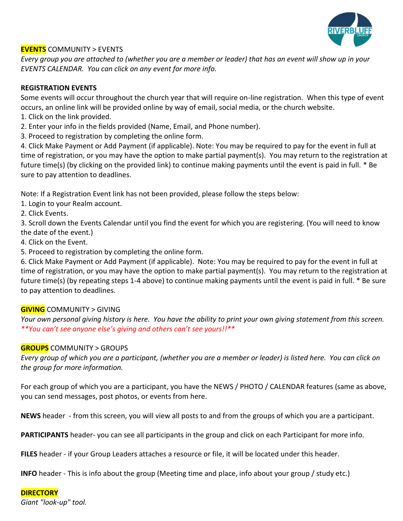

## **EVENTS** COMMUNITY > EVENTS

*Every group you are attached to (whether you are a member or leader) that has an event will show up in your EVENTS CALENDAR. You can click on any event for more info.*

## **REGISTRATION EVENTS**

Some events will occur throughout the church year that will require on-line registration. When this type of event occurs, an online link will be provided online by way of email, social media, or the church website.

- 1. Click on the link provided.
- 2. Enter your info in the fields provided (Name, Email, and Phone number).
- 3. Proceed to registration by completing the online form.

4. Click Make Payment or Add Payment (if applicable). Note: You may be required to pay for the event in full at time of registration, or you may have the option to make partial payment(s). You may return to the registration at future time(s) (by clicking on the provided link) to continue making payments until the event is paid in full. \* Be sure to pay attention to deadlines.

Note: If a Registration Event link has not been provided, please follow the steps below:

- 1. Login to your Realm account.
- 2. Click Events.

3. Scroll down the Events Calendar until you find the event for which you are registering. (You will need to know the date of the event.)

- 4. Click on the Event.
- 5. Proceed to registration by completing the online form.

6. Click Make Payment or Add Payment (if applicable). Note: You may be required to pay for the event in full at time of registration, or you may have the option to make partial payment(s). You may return to the registration at future time(s) (by repeating steps 1-4 above) to continue making payments until the event is paid in full. \* Be sure to pay attention to deadlines.

# **GIVING** COMMUNITY > GIVING

*Your own personal giving history is here. You have the ability to print your own giving statement from this screen. \*\*You can't see anyone else's giving and others can't see yours!!\*\**

## **GROUPS** COMMUNITY > GROUPS

*Every group of which you are a participant, (whether you are a member or leader) is listed here. You can click on the group for more information.*

For each group of which you are a participant, you have the NEWS / PHOTO / CALENDAR features (same as above, you can send messages, post photos, or events from here.

**NEWS** header - from this screen, you will view all posts to and from the groups of which you are a participant.

**PARTICIPANTS** header- you can see all participants in the group and click on each Participant for more info.

**FILES** header - if your Group Leaders attaches a resource or file, it will be located under this header.

**INFO** header - This is info about the group (Meeting time and place, info about your group / study etc.)

## **DIRECTORY**

*Giant "look-up" tool.*